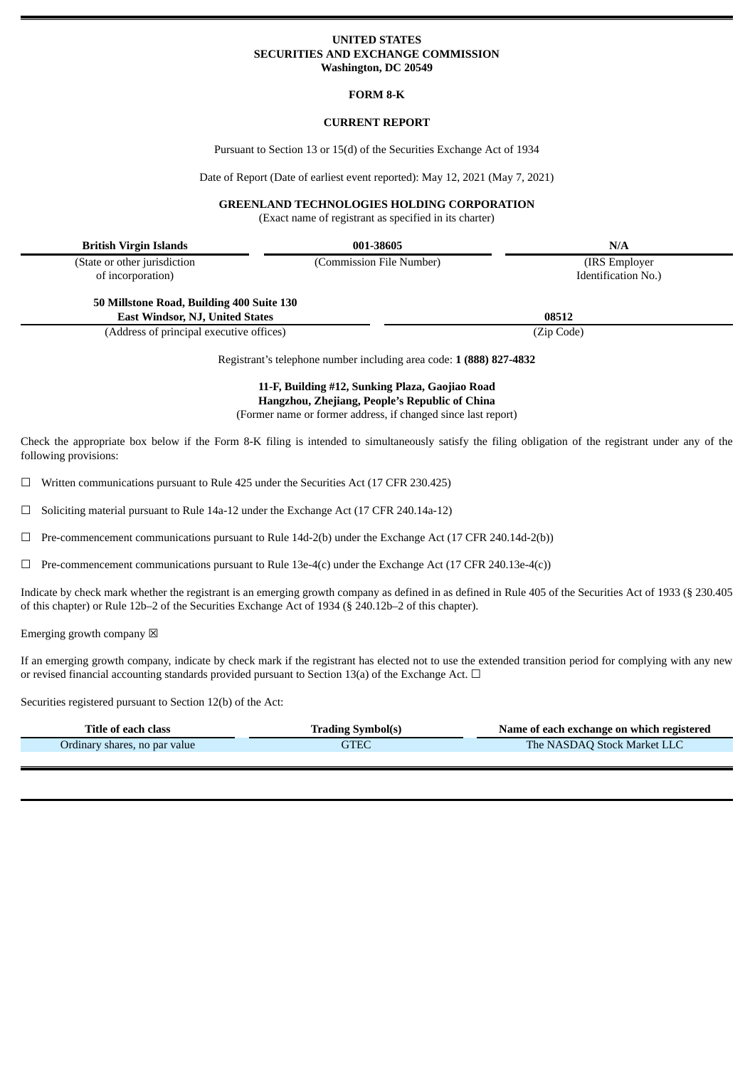## **UNITED STATES SECURITIES AND EXCHANGE COMMISSION Washington, DC 20549**

#### **FORM 8-K**

## **CURRENT REPORT**

Pursuant to Section 13 or 15(d) of the Securities Exchange Act of 1934

Date of Report (Date of earliest event reported): May 12, 2021 (May 7, 2021)

## **GREENLAND TECHNOLOGIES HOLDING CORPORATION**

(Exact name of registrant as specified in its charter)

| <b>British Virgin Islands</b>             | 001-38605                                                           | N/A                 |
|-------------------------------------------|---------------------------------------------------------------------|---------------------|
| (State or other jurisdiction              | (Commission File Number)                                            | (IRS Employer)      |
| of incorporation)                         |                                                                     | Identification No.) |
| 50 Millstone Road, Building 400 Suite 130 |                                                                     |                     |
| <b>East Windsor, NJ, United States</b>    |                                                                     | 08512               |
| (Address of principal executive offices)  |                                                                     | (Zip Code)          |
|                                           | Dogictront's tolophone number including area sode: 1 (888) 827 4822 |                     |

Registrant's telephone number including area code: **1 (888) 827-4832**

# **11-F, Building #12, Sunking Plaza, Gaojiao Road Hangzhou, Zhejiang, People's Republic of China**

(Former name or former address, if changed since last report)

Check the appropriate box below if the Form 8-K filing is intended to simultaneously satisfy the filing obligation of the registrant under any of the following provisions:

☐ Written communications pursuant to Rule 425 under the Securities Act (17 CFR 230.425)

☐ Soliciting material pursuant to Rule 14a-12 under the Exchange Act (17 CFR 240.14a-12)

 $\Box$  Pre-commencement communications pursuant to Rule 14d-2(b) under the Exchange Act (17 CFR 240.14d-2(b))

 $\Box$  Pre-commencement communications pursuant to Rule 13e-4(c) under the Exchange Act (17 CFR 240.13e-4(c))

Indicate by check mark whether the registrant is an emerging growth company as defined in as defined in Rule 405 of the Securities Act of 1933 (§ 230.405 of this chapter) or Rule 12b–2 of the Securities Exchange Act of 1934 (§ 240.12b–2 of this chapter).

Emerging growth company  $\boxtimes$ 

If an emerging growth company, indicate by check mark if the registrant has elected not to use the extended transition period for complying with any new or revised financial accounting standards provided pursuant to Section 13(a) of the Exchange Act.  $\Box$ 

Securities registered pursuant to Section 12(b) of the Act:

| Title of each class           | Trading Symbol(s) | Name of each exchange on which registered |
|-------------------------------|-------------------|-------------------------------------------|
| Ordinary shares, no par value | GTEC              | The NASDAQ Stock Market LLC               |
|                               |                   |                                           |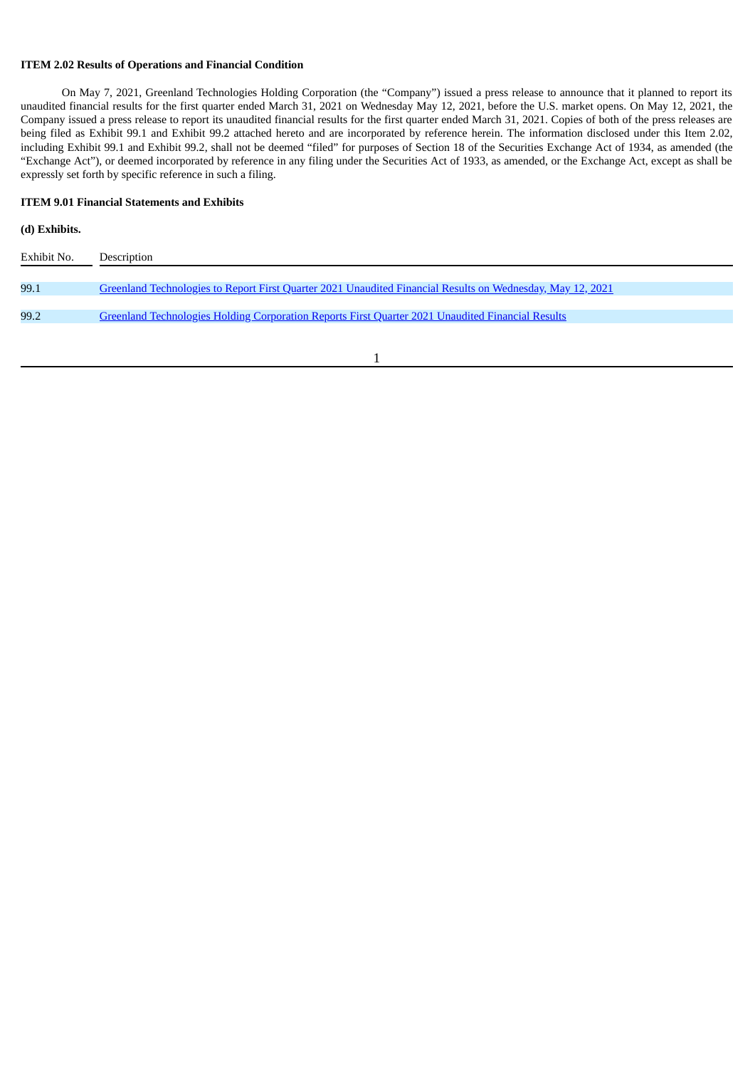## **ITEM 2.02 Results of Operations and Financial Condition**

On May 7, 2021, Greenland Technologies Holding Corporation (the "Company") issued a press release to announce that it planned to report its unaudited financial results for the first quarter ended March 31, 2021 on Wednesday May 12, 2021, before the U.S. market opens. On May 12, 2021, the Company issued a press release to report its unaudited financial results for the first quarter ended March 31, 2021. Copies of both of the press releases are being filed as Exhibit 99.1 and Exhibit 99.2 attached hereto and are incorporated by reference herein. The information disclosed under this Item 2.02, including Exhibit 99.1 and Exhibit 99.2, shall not be deemed "filed" for purposes of Section 18 of the Securities Exchange Act of 1934, as amended (the "Exchange Act"), or deemed incorporated by reference in any filing under the Securities Act of 1933, as amended, or the Exchange Act, except as shall be expressly set forth by specific reference in such a filing.

## **ITEM 9.01 Financial Statements and Exhibits**

# **(d) Exhibits.**

| Exhibit No. | Description                                                                                                       |
|-------------|-------------------------------------------------------------------------------------------------------------------|
| 99.1        | <u>Greenland Technologies to Report First Quarter 2021 Unaudited Financial Results on Wednesday, May 12, 2021</u> |
| 99.2        | Greenland Technologies Holding Corporation Reports First Quarter 2021 Unaudited Financial Results                 |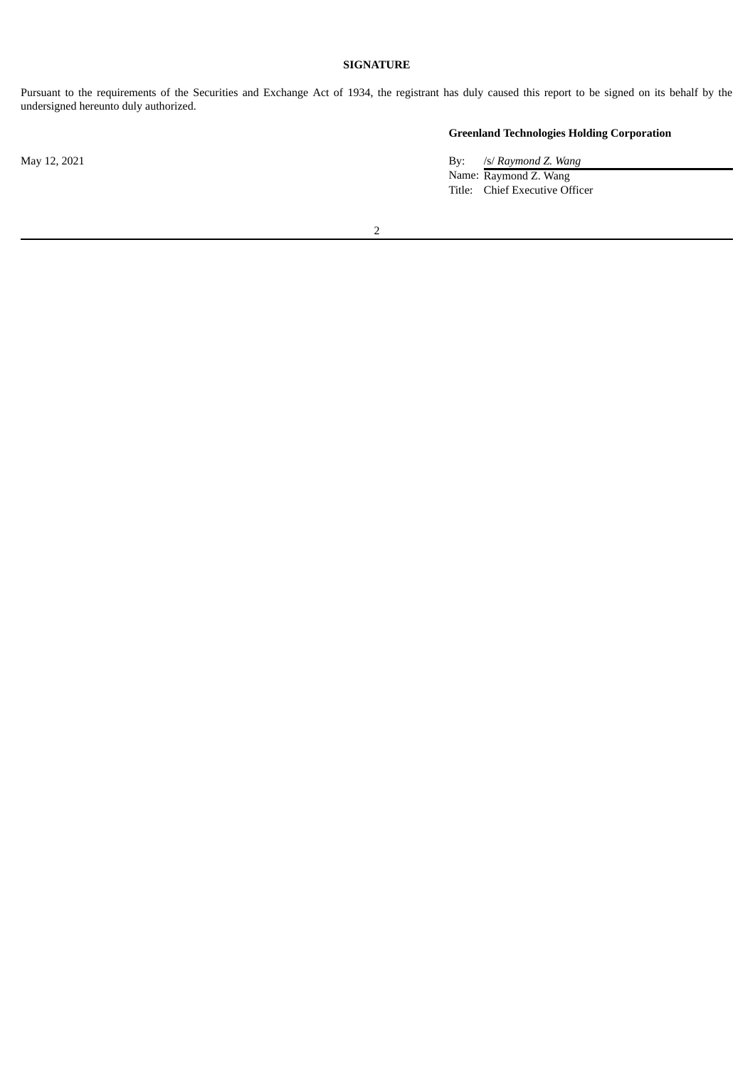## **SIGNATURE**

Pursuant to the requirements of the Securities and Exchange Act of 1934, the registrant has duly caused this report to be signed on its behalf by the undersigned hereunto duly authorized.

**Greenland Technologies Holding Corporation**

May 12, 2021 By: /s/ *Raymond Z. Wang* Name: Raymond Z. Wang Title: Chief Executive Officer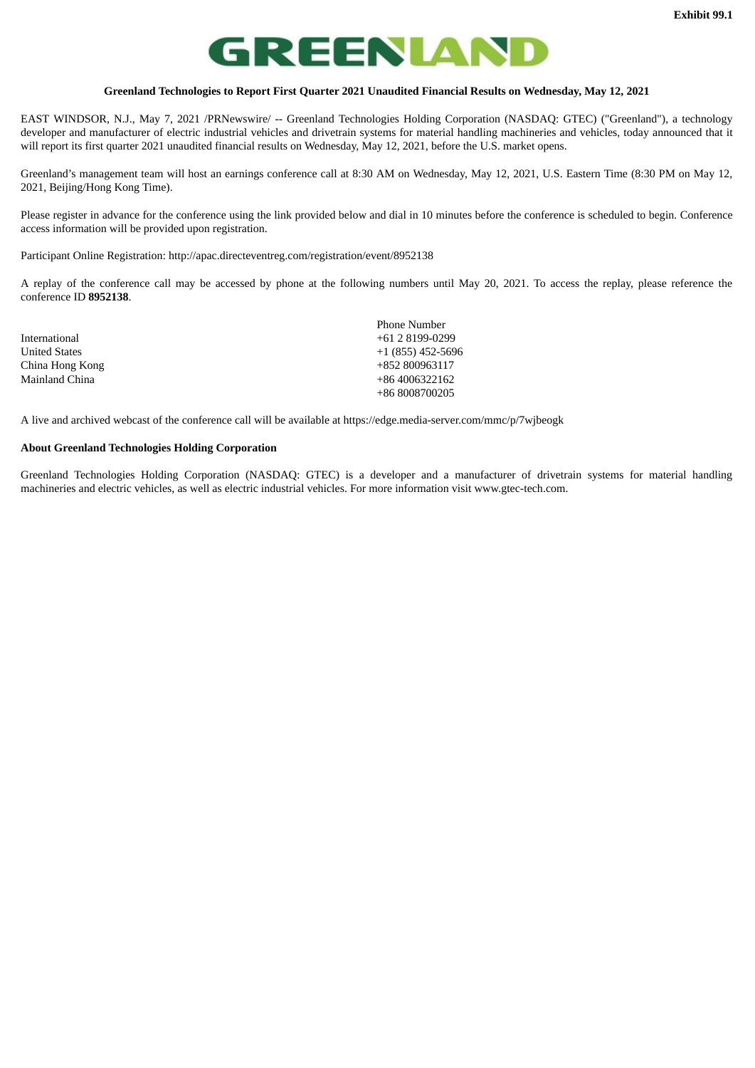# **REENLAND**

#### **Greenland Technologies to Report First Quarter 2021 Unaudited Financial Results on Wednesday, May 12, 2021**

<span id="page-3-0"></span>EAST WINDSOR, N.J., May 7, 2021 /PRNewswire/ -- Greenland Technologies Holding Corporation (NASDAQ: GTEC) ("Greenland"), a technology developer and manufacturer of electric industrial vehicles and drivetrain systems for material handling machineries and vehicles, today announced that it will report its first quarter 2021 unaudited financial results on Wednesday, May 12, 2021, before the U.S. market opens.

Greenland's management team will host an earnings conference call at 8:30 AM on Wednesday, May 12, 2021, U.S. Eastern Time (8:30 PM on May 12, 2021, Beijing/Hong Kong Time).

Please register in advance for the conference using the link provided below and dial in 10 minutes before the conference is scheduled to begin. Conference access information will be provided upon registration.

Participant Online Registration: http://apac.directeventreg.com/registration/event/8952138

A replay of the conference call may be accessed by phone at the following numbers until May 20, 2021. To access the replay, please reference the conference ID **8952138**.

|                      | <b>Phone Number</b> |
|----------------------|---------------------|
| International        | $+61$ 2 8199-0299   |
| <b>United States</b> | $+1(855)$ 452-5696  |
| China Hong Kong      | +852 800963117      |
| Mainland China       | +86 4006322162      |
|                      | +86 8008700205      |

A live and archived webcast of the conference call will be available at https://edge.media-server.com/mmc/p/7wjbeogk

#### **About Greenland Technologies Holding Corporation**

Greenland Technologies Holding Corporation (NASDAQ: GTEC) is a developer and a manufacturer of drivetrain systems for material handling machineries and electric vehicles, as well as electric industrial vehicles. For more information visit www.gtec-tech.com.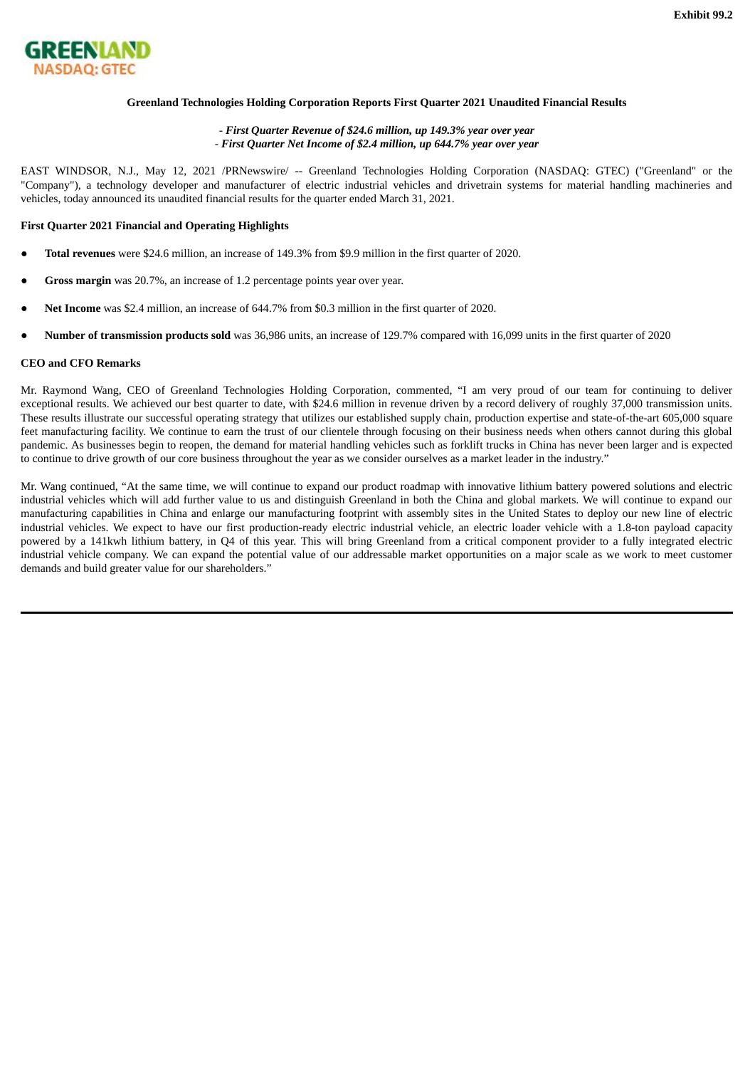<span id="page-4-0"></span>

## **Greenland Technologies Holding Corporation Reports First Quarter 2021 Unaudited Financial Results**

## - *First Quarter Revenue of \$24.6 million, up 149.3% year over year* - *First Quarter Net Income of \$2.4 million, up 644.7% year over year*

EAST WINDSOR, N.J., May 12, 2021 /PRNewswire/ -- Greenland Technologies Holding Corporation (NASDAQ: GTEC) ("Greenland" or the "Company"), a technology developer and manufacturer of electric industrial vehicles and drivetrain systems for material handling machineries and vehicles, today announced its unaudited financial results for the quarter ended March 31, 2021.

#### **First Quarter 2021 Financial and Operating Highlights**

- **Total revenues** were \$24.6 million, an increase of 149.3% from \$9.9 million in the first quarter of 2020.
- **Gross margin** was 20.7%, an increase of 1.2 percentage points year over year.
- **Net Income** was \$2.4 million, an increase of 644.7% from \$0.3 million in the first quarter of 2020.
- **Number of transmission products sold** was 36,986 units, an increase of 129.7% compared with 16,099 units in the first quarter of 2020

#### **CEO and CFO Remarks**

Mr. Raymond Wang, CEO of Greenland Technologies Holding Corporation, commented, "I am very proud of our team for continuing to deliver exceptional results. We achieved our best quarter to date, with \$24.6 million in revenue driven by a record delivery of roughly 37,000 transmission units. These results illustrate our successful operating strategy that utilizes our established supply chain, production expertise and state-of-the-art 605,000 square feet manufacturing facility. We continue to earn the trust of our clientele through focusing on their business needs when others cannot during this global pandemic. As businesses begin to reopen, the demand for material handling vehicles such as forklift trucks in China has never been larger and is expected to continue to drive growth of our core business throughout the year as we consider ourselves as a market leader in the industry."

Mr. Wang continued, "At the same time, we will continue to expand our product roadmap with innovative lithium battery powered solutions and electric industrial vehicles which will add further value to us and distinguish Greenland in both the China and global markets. We will continue to expand our manufacturing capabilities in China and enlarge our manufacturing footprint with assembly sites in the United States to deploy our new line of electric industrial vehicles. We expect to have our first production-ready electric industrial vehicle, an electric loader vehicle with a 1.8-ton payload capacity powered by a 141kwh lithium battery, in Q4 of this year. This will bring Greenland from a critical component provider to a fully integrated electric industrial vehicle company. We can expand the potential value of our addressable market opportunities on a major scale as we work to meet customer demands and build greater value for our shareholders."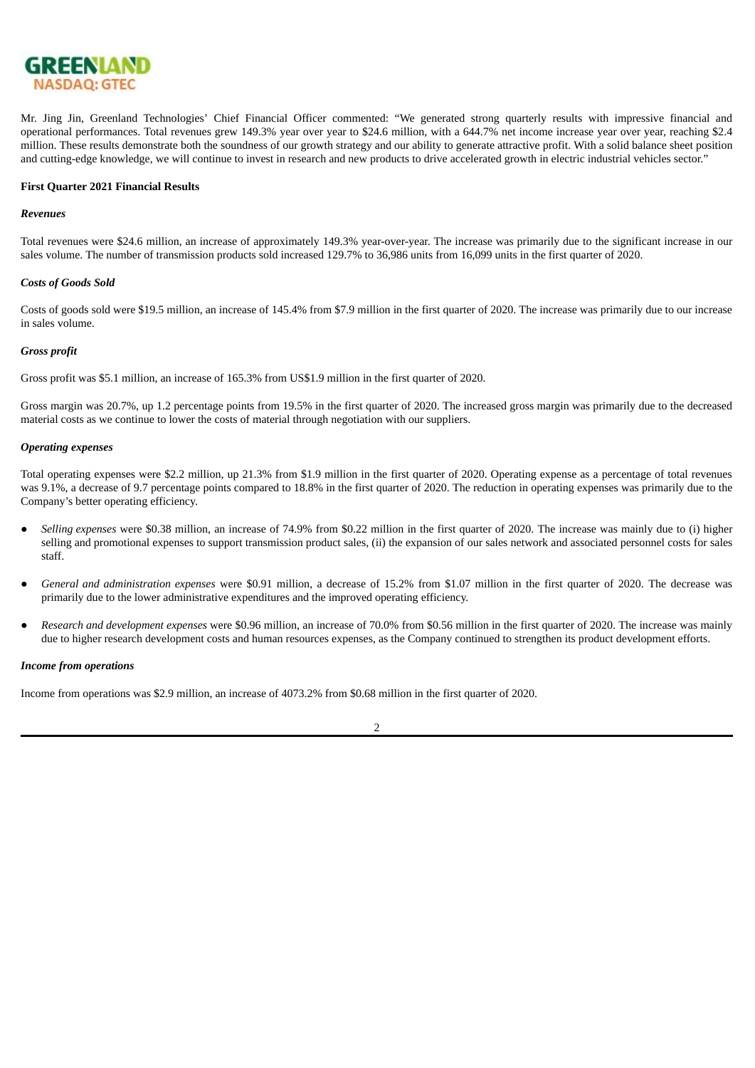

Mr. Jing Jin, Greenland Technologies' Chief Financial Officer commented: "We generated strong quarterly results with impressive financial and operational performances. Total revenues grew 149.3% year over year to \$24.6 million, with a 644.7% net income increase year over year, reaching \$2.4 million. These results demonstrate both the soundness of our growth strategy and our ability to generate attractive profit. With a solid balance sheet position and cutting-edge knowledge, we will continue to invest in research and new products to drive accelerated growth in electric industrial vehicles sector."

## **First Quarter 2021 Financial Results**

#### *Revenues*

Total revenues were \$24.6 million, an increase of approximately 149.3% year-over-year. The increase was primarily due to the significant increase in our sales volume. The number of transmission products sold increased 129.7% to 36,986 units from 16,099 units in the first quarter of 2020.

#### *Costs of Goods Sold*

Costs of goods sold were \$19.5 million, an increase of 145.4% from \$7.9 million in the first quarter of 2020. The increase was primarily due to our increase in sales volume.

#### *Gross profit*

Gross profit was \$5.1 million, an increase of 165.3% from US\$1.9 million in the first quarter of 2020.

Gross margin was 20.7%, up 1.2 percentage points from 19.5% in the first quarter of 2020. The increased gross margin was primarily due to the decreased material costs as we continue to lower the costs of material through negotiation with our suppliers.

#### *Operating expenses*

Total operating expenses were \$2.2 million, up 21.3% from \$1.9 million in the first quarter of 2020. Operating expense as a percentage of total revenues was 9.1%, a decrease of 9.7 percentage points compared to 18.8% in the first quarter of 2020. The reduction in operating expenses was primarily due to the Company's better operating efficiency.

- Selling *expenses* were \$0.38 million, an increase of 74.9% from \$0.22 million in the first quarter of 2020. The increase was mainly due to (i) higher selling and promotional expenses to support transmission product sales, (ii) the expansion of our sales network and associated personnel costs for sales staff.
- *General and administration expenses* were \$0.91 million, a decrease of 15.2% from \$1.07 million in the first quarter of 2020. The decrease was primarily due to the lower administrative expenditures and the improved operating efficiency.
- *Research and development expenses* were \$0.96 million, an increase of 70.0% from \$0.56 million in the first quarter of 2020. The increase was mainly due to higher research development costs and human resources expenses, as the Company continued to strengthen its product development efforts.

#### *Income from operations*

Income from operations was \$2.9 million, an increase of 4073.2% from \$0.68 million in the first quarter of 2020.

 $\overline{2}$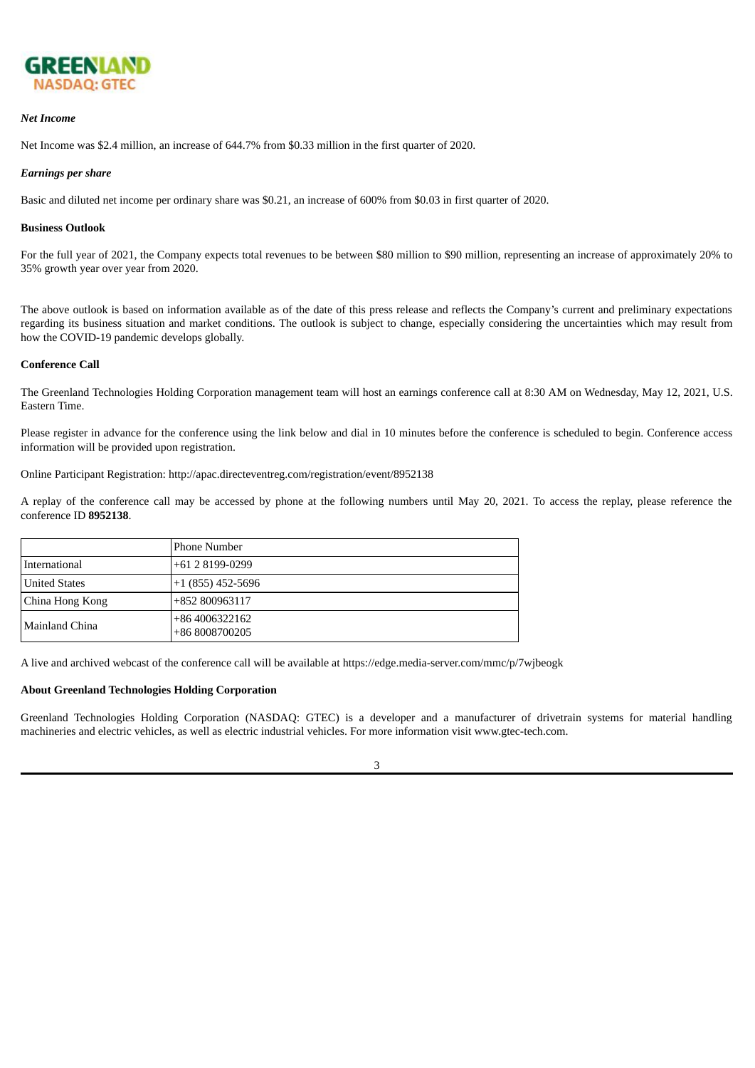

#### *Net Income*

Net Income was \$2.4 million, an increase of 644.7% from \$0.33 million in the first quarter of 2020.

#### *Earnings per share*

Basic and diluted net income per ordinary share was \$0.21, an increase of 600% from \$0.03 in first quarter of 2020.

#### **Business Outlook**

For the full year of 2021, the Company expects total revenues to be between \$80 million to \$90 million, representing an increase of approximately 20% to 35% growth year over year from 2020.

The above outlook is based on information available as of the date of this press release and reflects the Company's current and preliminary expectations regarding its business situation and market conditions. The outlook is subject to change, especially considering the uncertainties which may result from how the COVID-19 pandemic develops globally.

#### **Conference Call**

The Greenland Technologies Holding Corporation management team will host an earnings conference call at 8:30 AM on Wednesday, May 12, 2021, U.S. Eastern Time.

Please register in advance for the conference using the link below and dial in 10 minutes before the conference is scheduled to begin. Conference access information will be provided upon registration.

Online Participant Registration: http://apac.directeventreg.com/registration/event/8952138

A replay of the conference call may be accessed by phone at the following numbers until May 20, 2021. To access the replay, please reference the conference ID **8952138**.

|                        | Phone Number                     |
|------------------------|----------------------------------|
| International          | $+6128199-0299$                  |
| <b>United States</b>   | +1 (855) 452-5696                |
| China Hong Kong        | +852 800963117                   |
| <b>IMainland China</b> | +86 4006322162<br>+86 8008700205 |

A live and archived webcast of the conference call will be available at https://edge.media-server.com/mmc/p/7wjbeogk

## **About Greenland Technologies Holding Corporation**

Greenland Technologies Holding Corporation (NASDAQ: GTEC) is a developer and a manufacturer of drivetrain systems for material handling machineries and electric vehicles, as well as electric industrial vehicles. For more information visit www.gtec-tech.com.

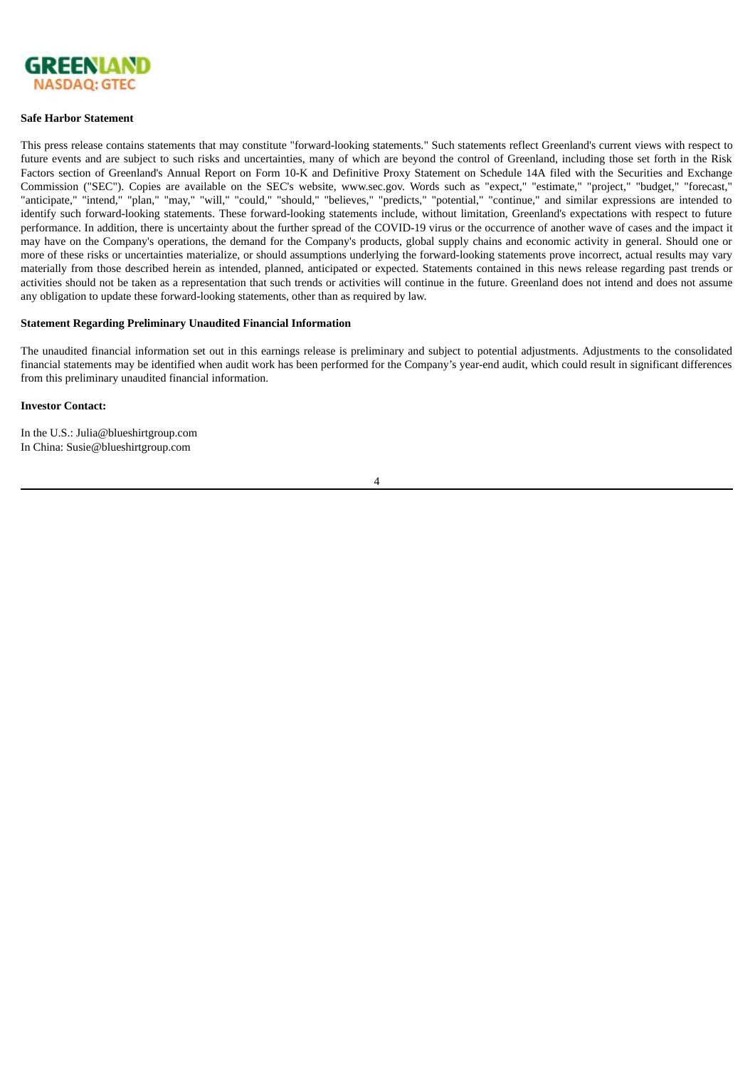

#### **Safe Harbor Statement**

This press release contains statements that may constitute "forward-looking statements." Such statements reflect Greenland's current views with respect to future events and are subject to such risks and uncertainties, many of which are beyond the control of Greenland, including those set forth in the Risk Factors section of Greenland's Annual Report on Form 10-K and Definitive Proxy Statement on Schedule 14A filed with the Securities and Exchange Commission ("SEC"). Copies are available on the SEC's website, www.sec.gov. Words such as "expect," "estimate," "project," "budget," "forecast," "anticipate," "intend," "plan," "may," "will," "could," "should," "believes," "predicts," "potential," "continue," and similar expressions are intended to identify such forward-looking statements. These forward-looking statements include, without limitation, Greenland's expectations with respect to future performance. In addition, there is uncertainty about the further spread of the COVID-19 virus or the occurrence of another wave of cases and the impact it may have on the Company's operations, the demand for the Company's products, global supply chains and economic activity in general. Should one or more of these risks or uncertainties materialize, or should assumptions underlying the forward-looking statements prove incorrect, actual results may vary materially from those described herein as intended, planned, anticipated or expected. Statements contained in this news release regarding past trends or activities should not be taken as a representation that such trends or activities will continue in the future. Greenland does not intend and does not assume any obligation to update these forward-looking statements, other than as required by law.

#### **Statement Regarding Preliminary Unaudited Financial Information**

The unaudited financial information set out in this earnings release is preliminary and subject to potential adjustments. Adjustments to the consolidated financial statements may be identified when audit work has been performed for the Company's year-end audit, which could result in significant differences from this preliminary unaudited financial information.

#### **Investor Contact:**

In the U.S.: Julia@blueshirtgroup.com In China: Susie@blueshirtgroup.com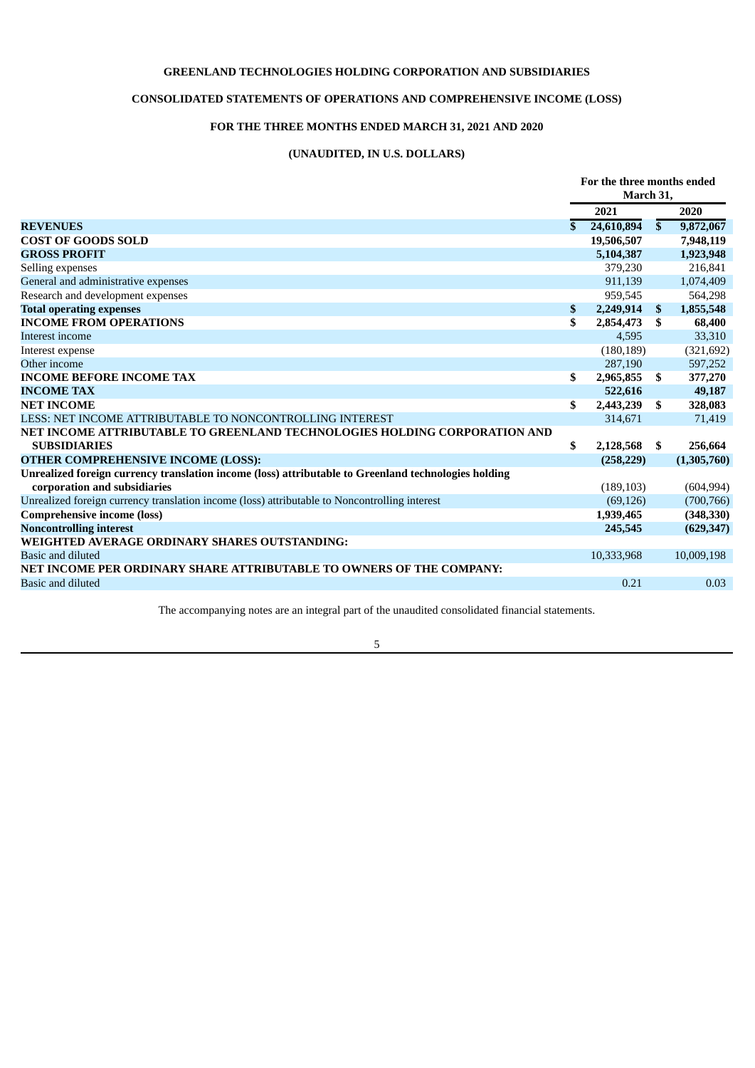# **GREENLAND TECHNOLOGIES HOLDING CORPORATION AND SUBSIDIARIES**

# **CONSOLIDATED STATEMENTS OF OPERATIONS AND COMPREHENSIVE INCOME (LOSS)**

# **FOR THE THREE MONTHS ENDED MARCH 31, 2021 AND 2020**

# **(UNAUDITED, IN U.S. DOLLARS)**

|                                                                                                      | For the three months ended<br>March 31, |               |             |
|------------------------------------------------------------------------------------------------------|-----------------------------------------|---------------|-------------|
|                                                                                                      | 2021                                    |               | 2020        |
| <b>REVENUES</b>                                                                                      | \$<br>24,610,894                        | $\mathbf{s}$  | 9,872,067   |
| <b>COST OF GOODS SOLD</b>                                                                            | 19,506,507                              |               | 7,948,119   |
| <b>GROSS PROFIT</b>                                                                                  | 5,104,387                               |               | 1,923,948   |
| Selling expenses                                                                                     | 379,230                                 |               | 216,841     |
| General and administrative expenses                                                                  | 911,139                                 |               | 1,074,409   |
| Research and development expenses                                                                    | 959,545                                 |               | 564,298     |
| <b>Total operating expenses</b>                                                                      | \$<br>2,249,914                         | $\mathbf{\$}$ | 1,855,548   |
| <b>INCOME FROM OPERATIONS</b>                                                                        | \$<br>2,854,473                         | \$            | 68,400      |
| Interest income                                                                                      | 4,595                                   |               | 33,310      |
| Interest expense                                                                                     | (180, 189)                              |               | (321, 692)  |
| Other income                                                                                         | 287,190                                 |               | 597,252     |
| <b>INCOME BEFORE INCOME TAX</b>                                                                      | \$<br>2,965,855                         | S.            | 377,270     |
| <b>INCOME TAX</b>                                                                                    | 522,616                                 |               | 49,187      |
| <b>NET INCOME</b>                                                                                    | \$<br>2,443,239                         | \$            | 328,083     |
| LESS: NET INCOME ATTRIBUTABLE TO NONCONTROLLING INTEREST                                             | 314,671                                 |               | 71,419      |
| NET INCOME ATTRIBUTABLE TO GREENLAND TECHNOLOGIES HOLDING CORPORATION AND                            |                                         |               |             |
| <b>SUBSIDIARIES</b>                                                                                  | \$<br>2,128,568                         | \$            | 256,664     |
| OTHER COMPREHENSIVE INCOME (LOSS):                                                                   | (258, 229)                              |               | (1,305,760) |
| Unrealized foreign currency translation income (loss) attributable to Greenland technologies holding |                                         |               |             |
| corporation and subsidiaries                                                                         | (189, 103)                              |               | (604, 994)  |
| Unrealized foreign currency translation income (loss) attributable to Noncontrolling interest        | (69, 126)                               |               | (700, 766)  |
| <b>Comprehensive income (loss)</b>                                                                   | 1,939,465                               |               | (348, 330)  |
| <b>Noncontrolling interest</b>                                                                       | 245,545                                 |               | (629, 347)  |
| <b>WEIGHTED AVERAGE ORDINARY SHARES OUTSTANDING:</b>                                                 |                                         |               |             |
| <b>Basic and diluted</b>                                                                             | 10,333,968                              |               | 10,009,198  |
| NET INCOME PER ORDINARY SHARE ATTRIBUTABLE TO OWNERS OF THE COMPANY:                                 |                                         |               |             |
| Basic and diluted                                                                                    | 0.21                                    |               | 0.03        |
|                                                                                                      |                                         |               |             |

The accompanying notes are an integral part of the unaudited consolidated financial statements.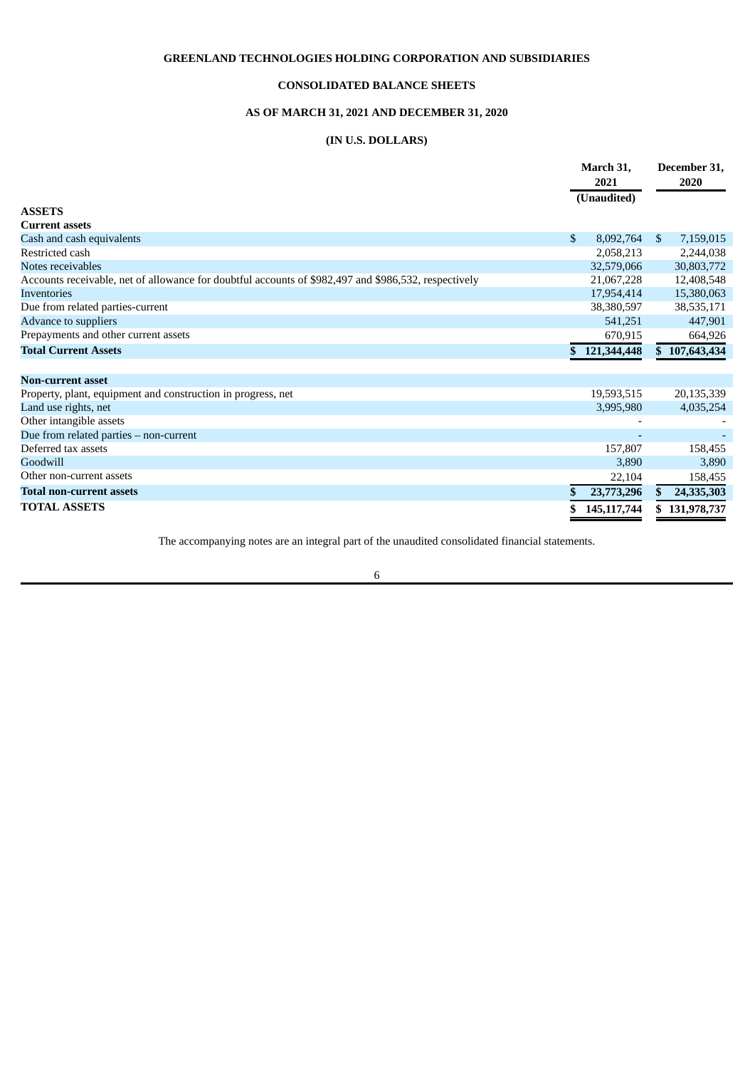# **GREENLAND TECHNOLOGIES HOLDING CORPORATION AND SUBSIDIARIES**

## **CONSOLIDATED BALANCE SHEETS**

# **AS OF MARCH 31, 2021 AND DECEMBER 31, 2020**

# **(IN U.S. DOLLARS)**

|                                                                                                      | March 31,<br>2021<br>(Unaudited) |               |              | December 31.<br>2020 |  |
|------------------------------------------------------------------------------------------------------|----------------------------------|---------------|--------------|----------------------|--|
|                                                                                                      |                                  |               |              |                      |  |
| <b>ASSETS</b>                                                                                        |                                  |               |              |                      |  |
| <b>Current assets</b>                                                                                |                                  |               |              |                      |  |
| Cash and cash equivalents                                                                            | $\mathbb{S}$                     | 8,092,764     | $\mathbb{S}$ | 7,159,015            |  |
| Restricted cash                                                                                      |                                  | 2,058,213     |              | 2,244,038            |  |
| Notes receivables                                                                                    |                                  | 32,579,066    |              | 30,803,772           |  |
| Accounts receivable, net of allowance for doubtful accounts of \$982,497 and \$986,532, respectively |                                  | 21,067,228    |              | 12,408,548           |  |
| <b>Inventories</b>                                                                                   |                                  | 17,954,414    |              | 15,380,063           |  |
| Due from related parties-current                                                                     |                                  | 38,380,597    |              | 38,535,171           |  |
| Advance to suppliers                                                                                 |                                  | 541,251       |              | 447,901              |  |
| Prepayments and other current assets                                                                 |                                  | 670,915       |              | 664,926              |  |
| <b>Total Current Assets</b>                                                                          | S.                               | 121,344,448   |              | \$107,643,434        |  |
| <b>Non-current asset</b>                                                                             |                                  |               |              |                      |  |
| Property, plant, equipment and construction in progress, net                                         |                                  | 19,593,515    |              | 20,135,339           |  |
| Land use rights, net                                                                                 |                                  | 3,995,980     |              | 4,035,254            |  |
| Other intangible assets                                                                              |                                  |               |              |                      |  |
| Due from related parties - non-current                                                               |                                  |               |              |                      |  |
| Deferred tax assets                                                                                  |                                  | 157,807       |              | 158,455              |  |
| Goodwill                                                                                             |                                  | 3,890         |              | 3,890                |  |
| Other non-current assets                                                                             |                                  | 22,104        |              | 158,455              |  |
| <b>Total non-current assets</b>                                                                      |                                  | 23,773,296    | \$.          | 24,335,303           |  |
| <b>TOTAL ASSETS</b>                                                                                  |                                  | 145, 117, 744 | S.           | 131,978,737          |  |

The accompanying notes are an integral part of the unaudited consolidated financial statements.